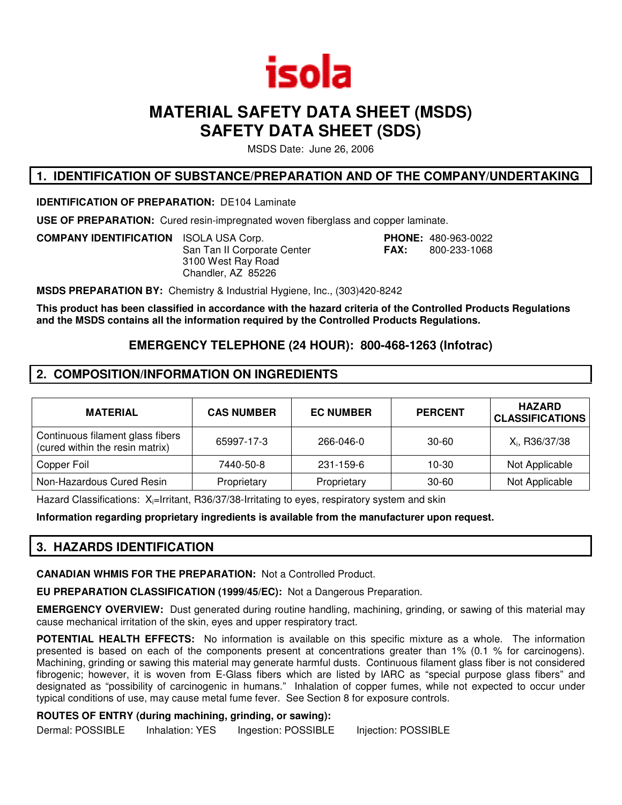

# **MATERIAL SAFETY DATA SHEET (MSDS) SAFETY DATA SHEET (SDS)**

MSDS Date: June 26, 2006

### **1. IDENTIFICATION OF SUBSTANCE/PREPARATION AND OF THE COMPANY/UNDERTAKING**

**IDENTIFICATION OF PREPARATION:** DE104 Laminate

**USE OF PREPARATION:** Cured resin-impregnated woven fiberglass and copper laminate.

**COMPANY IDENTIFICATION** ISOLA USA Corp. **PHONE:** 480-963-0022 San Tan II Corporate Center **FAX:** 800-233-1068 3100 West Ray Road Chandler, AZ 85226

**MSDS PREPARATION BY:** Chemistry & Industrial Hygiene, Inc., (303)420-8242

**This product has been classified in accordance with the hazard criteria of the Controlled Products Regulations and the MSDS contains all the information required by the Controlled Products Regulations.**

# **EMERGENCY TELEPHONE (24 HOUR): 800-468-1263 (Infotrac)**

# **2. COMPOSITION/INFORMATION ON INGREDIENTS**

| <b>MATERIAL</b>                                                     | <b>CAS NUMBER</b> | <b>EC NUMBER</b> | <b>PERCENT</b> | <b>HAZARD</b><br><b>CLASSIFICATIONS</b> |
|---------------------------------------------------------------------|-------------------|------------------|----------------|-----------------------------------------|
| Continuous filament glass fibers<br>(cured within the resin matrix) | 65997-17-3        | 266-046-0        | $30 - 60$      | X <sub>i</sub> , R36/37/38              |
| Copper Foil                                                         | 7440-50-8         | 231-159-6        | 10-30          | Not Applicable                          |
| Non-Hazardous Cured Resin                                           | Proprietary       | Proprietary      | $30 - 60$      | Not Applicable                          |

Hazard Classifications:  $X_i$ =Irritant, R36/37/38-Irritating to eyes, respiratory system and skin

**Information regarding proprietary ingredients is available from the manufacturer upon request.**

# **3. HAZARDS IDENTIFICATION**

**CANADIAN WHMIS FOR THE PREPARATION:** Not a Controlled Product.

**EU PREPARATION CLASSIFICATION (1999/45/EC):** Not a Dangerous Preparation.

**EMERGENCY OVERVIEW:** Dust generated during routine handling, machining, grinding, or sawing of this material may cause mechanical irritation of the skin, eyes and upper respiratory tract.

**POTENTIAL HEALTH EFFECTS:** No information is available on this specific mixture as a whole. The information presented is based on each of the components present at concentrations greater than 1% (0.1 % for carcinogens). Machining, grinding or sawing this material may generate harmful dusts. Continuous filament glass fiber is not considered fibrogenic; however, it is woven from E-Glass fibers which are listed by IARC as "special purpose glass fibers" and designated as "possibility of carcinogenic in humans." Inhalation of copper fumes, while not expected to occur under typical conditions of use, may cause metal fume fever. See Section 8 for exposure controls.

### **ROUTES OF ENTRY (during machining, grinding, or sawing):**

Dermal: POSSIBLE Inhalation: YES Ingestion: POSSIBLE Injection: POSSIBLE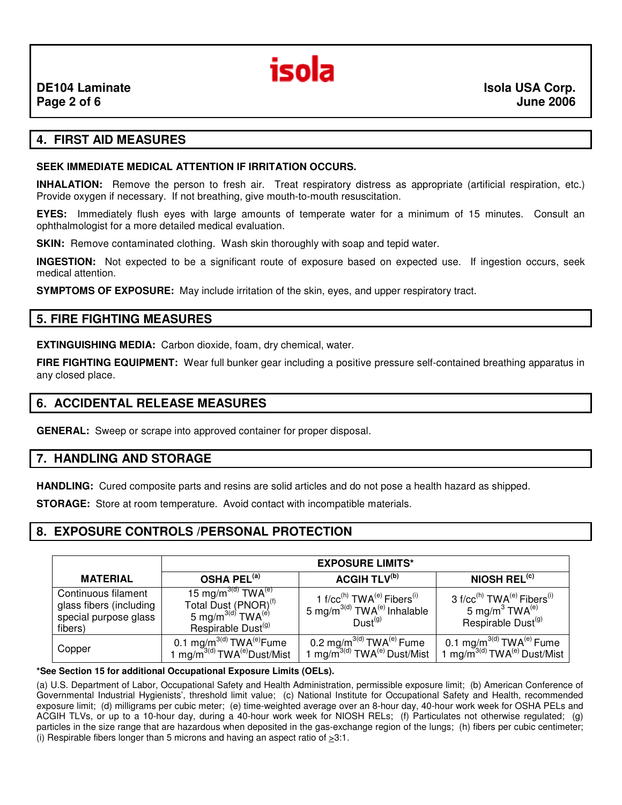

### **4. FIRST AID MEASURES**

#### **SEEK IMMEDIATE MEDICAL ATTENTION IF IRRITATION OCCURS.**

**INHALATION:** Remove the person to fresh air. Treat respiratory distress as appropriate (artificial respiration, etc.) Provide oxygen if necessary. If not breathing, give mouth-to-mouth resuscitation.

**EYES:** Immediately flush eyes with large amounts of temperate water for a minimum of 15 minutes. Consult an ophthalmologist for a more detailed medical evaluation.

**SKIN:** Remove contaminated clothing. Wash skin thoroughly with soap and tepid water.

**INGESTION:** Not expected to be a significant route of exposure based on expected use. If ingestion occurs, seek medical attention.

**SYMPTOMS OF EXPOSURE:** May include irritation of the skin, eyes, and upper respiratory tract.

### **5. FIRE FIGHTING MEASURES**

**EXTINGUISHING MEDIA:** Carbon dioxide, foam, dry chemical, water.

**FIRE FIGHTING EQUIPMENT:** Wear full bunker gear including a positive pressure self-contained breathing apparatus in any closed place.

### **6. ACCIDENTAL RELEASE MEASURES**

**GENERAL:** Sweep or scrape into approved container for proper disposal.

### **7. HANDLING AND STORAGE**

**HANDLING:** Cured composite parts and resins are solid articles and do not pose a health hazard as shipped.

**STORAGE:** Store at room temperature. Avoid contact with incompatible materials.

### **8. EXPOSURE CONTROLS /PERSONAL PROTECTION**

|                                                                                    | <b>EXPOSURE LIMITS*</b>                                                                                                                             |                                                                                                                                     |                                                                                                                                            |
|------------------------------------------------------------------------------------|-----------------------------------------------------------------------------------------------------------------------------------------------------|-------------------------------------------------------------------------------------------------------------------------------------|--------------------------------------------------------------------------------------------------------------------------------------------|
| <b>MATERIAL</b>                                                                    | OSHA PEL <sup>(a)</sup>                                                                                                                             | <b>ACGIH TLV(b)</b>                                                                                                                 | NIOSH $REL(c)$                                                                                                                             |
| Continuous filament<br>glass fibers (including<br>special purpose glass<br>fibers) | 15 mg/m $^{3(d)}$ TWA $^{(e)}$<br>Total Dust (PNOR) <sup>(f)</sup><br>5 mg/m $^{3\text{(d)}}$ TWA $^{(\text{e})}$<br>Respirable Dust <sup>(g)</sup> | 1 f/cc <sup>(h)</sup> TWA <sup>(e)</sup> Fibers <sup>(i)</sup><br>5 mg/m $3(d)$ TWA <sup>(e)</sup> Inhalable<br>Dust <sup>(g)</sup> | 3 f/cc <sup>(h)</sup> TWA <sup>(e)</sup> Fibers <sup>(i)</sup><br>5 mg/m <sup>3</sup> TWA <sup>(e)</sup><br>Respirable Dust <sup>(g)</sup> |
| Copper                                                                             | 0.1 mg/m <sup>3(d)</sup> TWA <sup>(e)</sup> Fume<br>1 mg/m <sup>3(d)</sup> TWA <sup>(e)</sup> Dust/Mist                                             | 0.2 mg/m $^{3(d)}$ TWA $^{(e)}$ Fume<br>mg/m <sup>3(d)</sup> TWA <sup>(e)</sup> Dust/Mist                                           | 0.1 mg/m <sup>3(d)</sup> TWA <sup>(e)</sup> Fume<br>1 mg/m <sup>3(d)</sup> $TWA^{(e)}$ Dust/Mist                                           |

**\*See Section 15 for additional Occupational Exposure Limits (OELs).**

(a) U.S. Department of Labor, Occupational Safety and Health Administration, permissible exposure limit; (b) American Conference of Governmental Industrial Hygienists', threshold limit value; (c) National Institute for Occupational Safety and Health, recommended exposure limit; (d) milligrams per cubic meter; (e) time-weighted average over an 8-hour day, 40-hour work week for OSHA PELs and ACGIH TLVs, or up to a 10-hour day, during a 40-hour work week for NIOSH RELs; (f) Particulates not otherwise regulated; (g) particles in the size range that are hazardous when deposited in the gas-exchange region of the lungs; (h) fibers per cubic centimeter; (i) Respirable fibers longer than 5 microns and having an aspect ratio of  $\geq 3:1$ .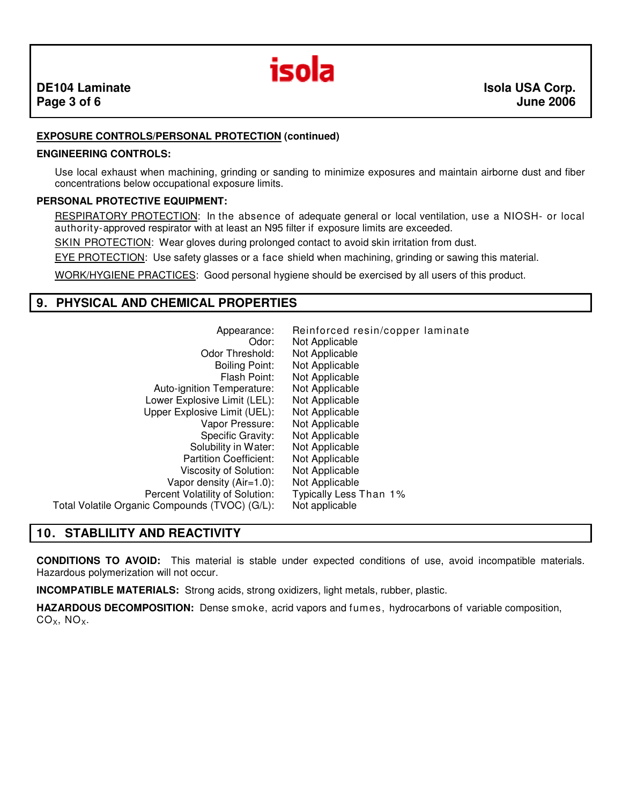

### **EXPOSURE CONTROLS/PERSONAL PROTECTION (continued)**

#### **ENGINEERING CONTROLS:**

Use local exhaust when machining, grinding or sanding to minimize exposures and maintain airborne dust and fiber concentrations below occupational exposure limits.

#### **PERSONAL PROTECTIVE EQUIPMENT:**

RESPIRATORY PROTECTION: In the absence of adequate general or local ventilation, use a NIOSH- or local authority-approved respirator with at least an N95 filter if exposure limits are exceeded.

SKIN PROTECTION: Wear gloves during prolonged contact to avoid skin irritation from dust.

EYE PROTECTION: Use safety glasses or a face shield when machining, grinding or sawing this material.

WORK/HYGIENE PRACTICES: Good personal hygiene should be exercised by all users of this product.

### **9. PHYSICAL AND CHEMICAL PROPERTIES**

| Appearance:                                    | Reinforced resin/copper laminate |
|------------------------------------------------|----------------------------------|
| Odor:                                          | Not Applicable                   |
| <b>Odor Threshold:</b>                         | Not Applicable                   |
| <b>Boiling Point:</b>                          | Not Applicable                   |
| Flash Point:                                   | Not Applicable                   |
| Auto-ignition Temperature:                     | Not Applicable                   |
| Lower Explosive Limit (LEL):                   | Not Applicable                   |
| Upper Explosive Limit (UEL):                   | Not Applicable                   |
| Vapor Pressure:                                | Not Applicable                   |
| Specific Gravity:                              | Not Applicable                   |
| Solubility in Water:                           | Not Applicable                   |
| <b>Partition Coefficient:</b>                  | Not Applicable                   |
| Viscosity of Solution:                         | Not Applicable                   |
| Vapor density $(Air=1.0)$ :                    | Not Applicable                   |
| Percent Volatility of Solution:                | Typically Less Than 1%           |
| Total Volatile Organic Compounds (TVOC) (G/L): | Not applicable                   |

# **10. STABLILITY AND REACTIVITY**

**CONDITIONS TO AVOID:** This material is stable under expected conditions of use, avoid incompatible materials. Hazardous polymerization will not occur.

**INCOMPATIBLE MATERIALS:** Strong acids, strong oxidizers, light metals, rubber, plastic.

**HAZARDOUS DECOMPOSITION:** Dense smoke, acrid vapors and fumes, hydrocarbons of variable composition,  $CO<sub>X</sub>$ , NO<sub>X</sub>.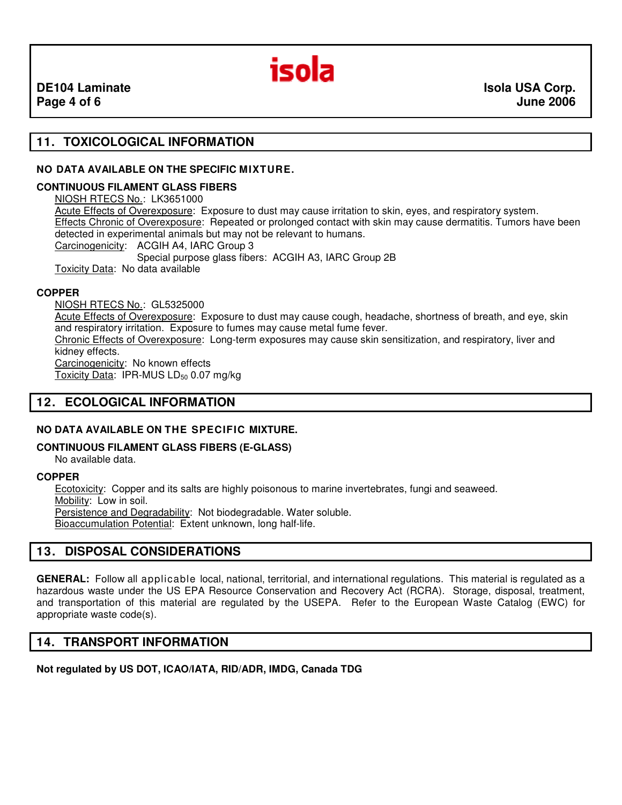

# **11. TOXICOLOGICAL INFORMATION**

#### **NO DATA AVAILABLE ON THE SPECIFIC MIXTURE.**

#### **CONTINUOUS FILAMENT GLASS FIBERS**

NIOSH RTECS No.: LK3651000 Acute Effects of Overexposure: Exposure to dust may cause irritation to skin, eyes, and respiratory system. Effects Chronic of Overexposure: Repeated or prolonged contact with skin may cause dermatitis. Tumors have been detected in experimental animals but may not be relevant to humans. Carcinogenicity: ACGIH A4, IARC Group 3 Special purpose glass fibers: ACGIH A3, IARC Group 2B Toxicity Data: No data available

#### **COPPER**

NIOSH RTECS No.: GL5325000 Acute Effects of Overexposure: Exposure to dust may cause cough, headache, shortness of breath, and eye, skin and respiratory irritation. Exposure to fumes may cause metal fume fever. Chronic Effects of Overexposure: Long-term exposures may cause skin sensitization, and respiratory, liver and kidney effects. Carcinogenicity: No known effects Toxicity Data: IPR-MUS LD<sub>50</sub> 0.07 mg/kg

# **12. ECOLOGICAL INFORMATION**

### **NO DATA AVAILABLE ON THE SPECIFIC MIXTURE.**

#### **CONTINUOUS FILAMENT GLASS FIBERS (E-GLASS)**

No available data.

#### **COPPER**

Ecotoxicity: Copper and its salts are highly poisonous to marine invertebrates, fungi and seaweed. Mobility: Low in soil.

Persistence and Degradability: Not biodegradable. Water soluble.

Bioaccumulation Potential: Extent unknown, long half-life.

# **13. DISPOSAL CONSIDERATIONS**

**GENERAL:** Follow all applicable local, national, territorial, and international regulations. This material is regulated as a hazardous waste under the US EPA Resource Conservation and Recovery Act (RCRA). Storage, disposal, treatment, and transportation of this material are regulated by the USEPA. Refer to the European Waste Catalog (EWC) for appropriate waste code(s).

### **14. TRANSPORT INFORMATION**

### **Not regulated by US DOT, ICAO/IATA, RID/ADR, IMDG, Canada TDG**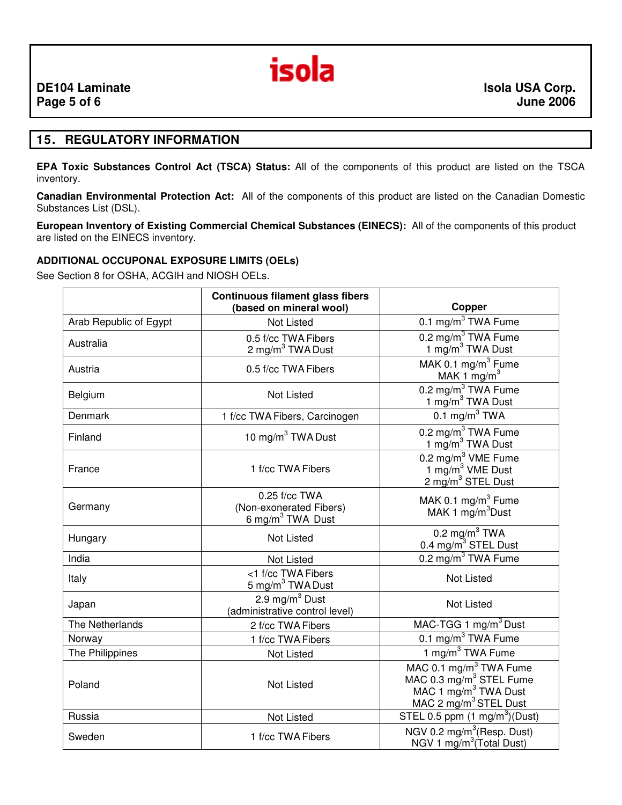

### **15. REGULATORY INFORMATION**

**EPA Toxic Substances Control Act (TSCA) Status:** All of the components of this product are listed on the TSCA inventory.

**Canadian Environmental Protection Act:** All of the components of this product are listed on the Canadian Domestic Substances List (DSL).

**European Inventory of Existing Commercial Chemical Substances (EINECS):** All of the components of this product are listed on the EINECS inventory.

#### **ADDITIONAL OCCUPONAL EXPOSURE LIMITS (OELs)**

See Section 8 for OSHA, ACGIH and NIOSH OELs.

|                        | <b>Continuous filament glass fibers</b><br>(based on mineral wool)       | Copper                                                                                                                                             |  |
|------------------------|--------------------------------------------------------------------------|----------------------------------------------------------------------------------------------------------------------------------------------------|--|
| Arab Republic of Egypt | <b>Not Listed</b>                                                        | 0.1 mg/m <sup>3</sup> TWA Fume                                                                                                                     |  |
| Australia              | 0.5 f/cc TWA Fibers<br>2 mg/m <sup>3</sup> TWA Dust                      | 0.2 mg/m <sup>3</sup> TWA Fume<br>1 mg/m <sup>3</sup> TWA Dust                                                                                     |  |
| Austria                | 0.5 f/cc TWA Fibers                                                      | MAK 0.1 mg/m <sup>3</sup> Fume<br>MAK 1 $mg/m3$                                                                                                    |  |
| Belgium                | <b>Not Listed</b>                                                        | 0.2 mg/m <sup>3</sup> TWA Fume<br>1 mg/m <sup>3</sup> TWA Dust                                                                                     |  |
| Denmark                | 1 f/cc TWA Fibers, Carcinogen                                            | 0.1 mg/m $3$ TWA                                                                                                                                   |  |
| Finland                | 10 mg/m $3$ TWA Dust                                                     | 0.2 mg/m $3$ TWA Fume<br>1 mg/m <sup>3</sup> TWA Dust                                                                                              |  |
| France                 | 1 f/cc TWA Fibers                                                        | 0.2 mg/m <sup>3</sup> VME Fume<br>1 mg/m <sup>3</sup> VME Dust<br>2 mg/m <sup>3</sup> STEL Dust                                                    |  |
| Germany                | 0.25 f/cc TWA<br>(Non-exonerated Fibers)<br>6 mg/m <sup>3</sup> TWA Dust | MAK 0.1 $mg/m3$ Fume<br>MAK 1 mg/m <sup>3</sup> Dust                                                                                               |  |
| Hungary                | <b>Not Listed</b>                                                        | 0.2 mg/m <sup>3</sup> TWA<br>0.4 mg/m <sup>3</sup> STEL Dust                                                                                       |  |
| India                  | <b>Not Listed</b>                                                        | $0.2 \text{ mg/m}^3$ TWA Fume                                                                                                                      |  |
| Italy                  | <1 f/cc TWA Fibers<br>5 mg/m <sup>3</sup> TWA Dust                       | <b>Not Listed</b>                                                                                                                                  |  |
| Japan                  | 2.9 mg/ $\overline{m^3}$ Dust<br>(administrative control level)          | Not Listed                                                                                                                                         |  |
| The Netherlands        | 2 f/cc TWA Fibers                                                        | MAC-TGG 1 mg/m <sup>3</sup> Dust                                                                                                                   |  |
| Norway                 | 1 f/cc TWA Fibers                                                        | 0.1 mg/m <sup>3</sup> TWA Fume                                                                                                                     |  |
| The Philippines        | Not Listed                                                               | 1 mg/m <sup>3</sup> TWA Fume                                                                                                                       |  |
| Poland                 | <b>Not Listed</b>                                                        | MAC 0.1 mg/m <sup>3</sup> TWA Fume<br>MAC 0.3 mg/m <sup>3</sup> STEL Fume<br>MAC 1 mg/m <sup>3</sup> TWA Dust<br>MAC 2 mg/m <sup>3</sup> STEL Dust |  |
| Russia                 | Not Listed                                                               | STEL 0.5 ppm $(1 \text{ mg/m}^3)(\text{Dust})$                                                                                                     |  |
| Sweden                 | 1 f/cc TWA Fibers                                                        | NGV 0.2 mg/m <sup>3</sup> (Resp. Dust)<br>NGV 1 mg/m <sup>3</sup> (Total Dust)                                                                     |  |